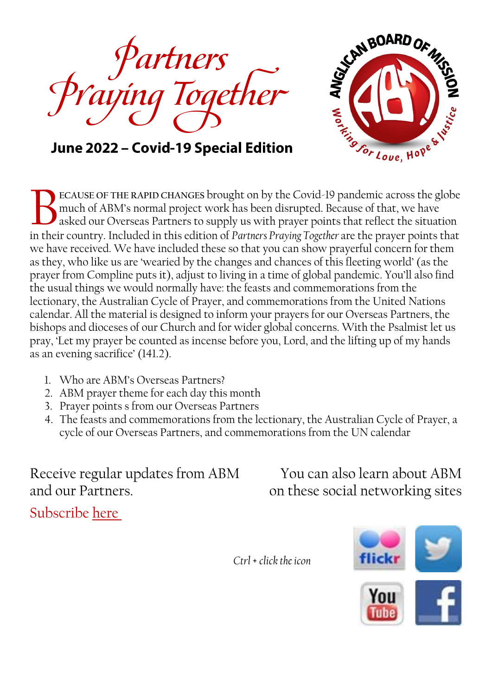



June 2022 - Covid-19 Special Edition

**ECAUSE OF THE RAPID CHANGES** brought on by the Covid-19 pandemic across the globe much of ABM's normal project work has been disrupted. Because of that, we have asked our Overseas Partners to supply us with prayer points that reflect the situation ECAUSE OF THE RAPID CHANGES brought on by the Covid-19 pandemic across the globe much of ABM's normal project work has been disrupted. Because of that, we have asked our Overseas Partners to supply us with prayer points th we have received. We have included these so that you can show prayerful concern for them as they, who like us are 'wearied by the changes and chances of this fleeting world' (as the prayer from Compline puts it), adjust to living in a time of global pandemic. You'll also find the usual things we would normally have: the feasts and commemorations from the lectionary, the Australian Cycle of Prayer, and commemorations from the United Nations calendar. All the material is designed to inform your prayers for our Overseas Partners, the bishops and dioceses of our Church and for wider global concerns. With the Psalmist let us pray, 'Let my prayer be counted as incense before you, Lord, and the lifting up of my hands as an evening sacrifice' (141.2).

- 1. Who are ABM's Overseas Partners?
- 2. ABM prayer theme for each day this month
- 3. Prayer points s from our Overseas Partners
- 4. The feasts and commemorations from the lectionary, the Australian Cycle of Prayer, a cycle of our Overseas Partners, and commemorations from the UN calendar

Receive regular updates from ABM You can also learn about ABM and our Partners.  $\qquad \qquad \text{on these social networking sites}$ 

Subscribe [here](http://www.abmission.org/pages/subscribe-to-our-e-news.html)



*Ctrl* + *click the icon*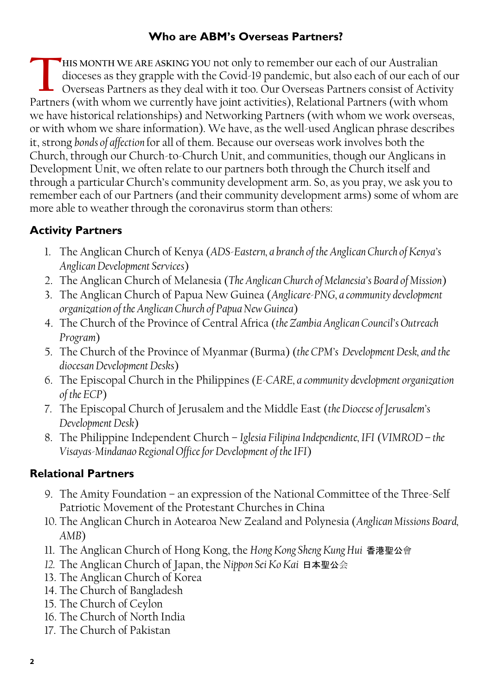#### **Who are ABM's Overseas Partners?**

**HIS MONTH WE ARE ASKING YOU** not only to remember our each of our Australian dioceses as they grapple with the Covid-19 pandemic, but also each of our each of our Overseas Partners as they deal with it too. Our Overseas Partners consist of Activity Fartners (with we are asking you not only to remember our each of our Australian dioceses as they grapple with the Covid-19 pandemic, but also each of our each of our Overseas Partners (with whom we currently have joint ac we have historical relationships) and Networking Partners (with whom we work overseas, or with whom we share information). We have, as the well-used Anglican phrase describes it, strong *bonds of affection* for all of them. Because our overseas work involves both the Church, through our Church-to-Church Unit, and communities, though our Anglicans in Development Unit, we often relate to our partners both through the Church itself and through a particular Church's community development arm. So, as you pray, we ask you to remember each of our Partners (and their community development arms) some of whom are more able to weather through the coronavirus storm than others:

### **Activity Partners**

- 1. The Anglican Church of Kenya (*ADS-Eastern, a branch of the Anglican Church of Kenya's Anglican Development Services*)
- 2. The Anglican Church of Melanesia (*The Anglican Church of Melanesia's Board of Mission*)
- 3. The Anglican Church of Papua New Guinea (*Anglicare-PNG, a community development organization of the Anglican Church of Papua New Guinea*)
- 4. The Church of the Province of Central Africa (*the Zambia Anglican Council's Outreach Program*)
- 5. The Church of the Province of Myanmar (Burma) (*the CPM's Development Desk, and the diocesan Development Desks*)
- 6. The Episcopal Church in the Philippines (*E-CARE, a community development organization of the ECP*)
- 7. The Episcopal Church of Jerusalem and the Middle East (*the Diocese of Jerusalem's Development Desk*)
- 8. The Philippine Independent Church *Iglesia Filipina Independiente, IFI* (*VIMROD – the Visayas-Mindanao Regional Office for Development of the IFI*)

### **Relational Partners**

- 9. The Amity Foundation an expression of the National Committee of the Three-Self Patriotic Movement of the Protestant Churches in China
- 10. The Anglican Church in Aotearoa New Zealand and Polynesia (*Anglican Missions Board, AMB*)
- 11. The Anglican Church of Hong Kong, the *Hong Kong Sheng Kung Hui* 香港聖公會
- *12.* The Anglican Church of Japan, the *Nippon Sei Ko Kai* 日本聖公会
- 13. The Anglican Church of Korea
- 14. The Church of Bangladesh
- 15. The Church of Ceylon
- 16. The Church of North India
- 17. The Church of Pakistan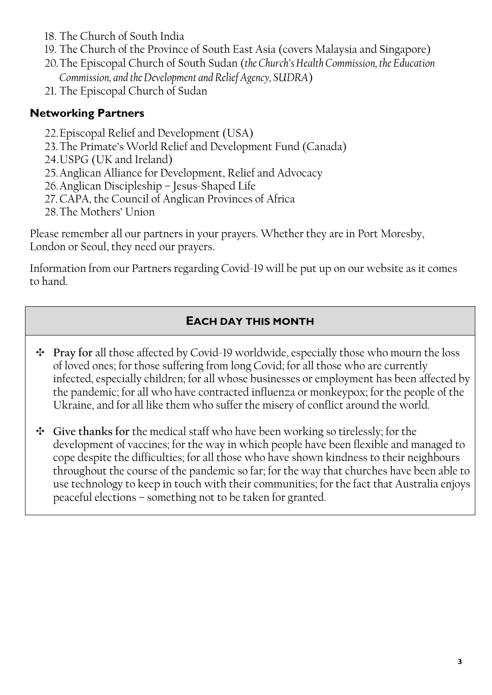- 18. The Church of South India
- 19. The Church of the Province of South East Asia (covers Malaysia and Singapore)
- 20.The Episcopal Church of South Sudan (*the Church's Health Commission, the Education Commission, and the Development and Relief Agency, SUDRA*)
- 21. The Episcopal Church of Sudan

### **Networking Partners**

- 22.Episcopal Relief and Development (USA)
- 23.The Primate's World Relief and Development Fund (Canada)
- 24.USPG (UK and Ireland)
- 25.Anglican Alliance for Development, Relief and Advocacy
- 26.Anglican Discipleship Jesus-Shaped Life
- 27.CAPA, the Council of Anglican Provinces of Africa
- 28.The Mothers' Union

Please remember all our partners in your prayers. Whether they are in Port Moresby, London or Seoul, they need our prayers.

Information from our Partners regarding Covid-19 will be put up on our website as it comes to hand.

### **EACH DAY THIS MONTH**

- **Pray for** all those affected by Covid-19 worldwide, especially those who mourn the loss of loved ones; for those suffering from long Covid; for all those who are currently infected, especially children; for all whose businesses or employment has been affected by the pandemic; for all who have contracted influenza or monkeypox; for the people of the Ukraine, and for all like them who suffer the misery of conflict around the world.
- **Give thanks for** the medical staff who have been working so tirelessly; for the development of vaccines; for the way in which people have been flexible and managed to cope despite the difficulties; for all those who have shown kindness to their neighbours throughout the course of the pandemic so far; for the way that churches have been able to use technology to keep in touch with their communities; for the fact that Australia enjoys peaceful elections – something not to be taken for granted.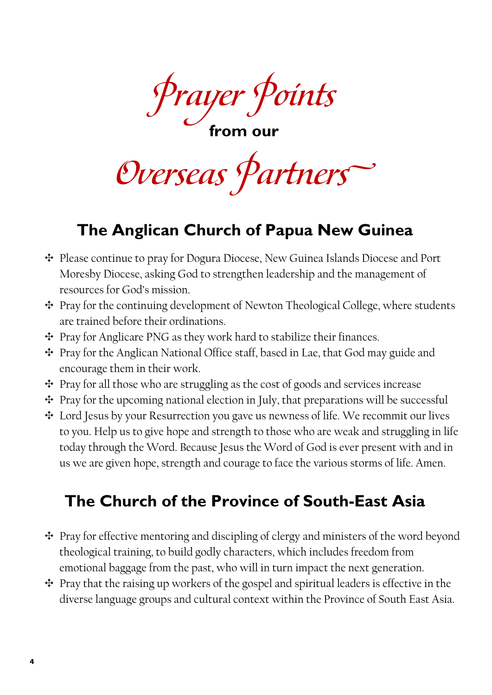**Prayer Points**

**from our**

**Overseas Partners**

# **The Anglican Church of Papua New Guinea**

- Please continue to pray for Dogura Diocese, New Guinea Islands Diocese and Port Moresby Diocese, asking God to strengthen leadership and the management of resources for God's mission.
- Pray for the continuing development of Newton Theological College, where students are trained before their ordinations.
- Pray for Anglicare PNG as they work hard to stabilize their finances.
- Pray for the Anglican National Office staff, based in Lae, that God may guide and encourage them in their work.
- $\div$  Pray for all those who are struggling as the cost of goods and services increase
- $\div$  Pray for the upcoming national election in July, that preparations will be successful
- Lord Jesus by your Resurrection you gave us newness of life. We recommit our lives to you. Help us to give hope and strength to those who are weak and struggling in life today through the Word. Because Jesus the Word of God is ever present with and in us we are given hope, strength and courage to face the various storms of life. Amen.

# **The Church of the Province of South-East Asia**

- $\div$  Pray for effective mentoring and discipling of clergy and ministers of the word beyond theological training, to build godly characters, which includes freedom from emotional baggage from the past, who will in turn impact the next generation.
- $\div$  Pray that the raising up workers of the gospel and spiritual leaders is effective in the diverse language groups and cultural context within the Province of South East Asia.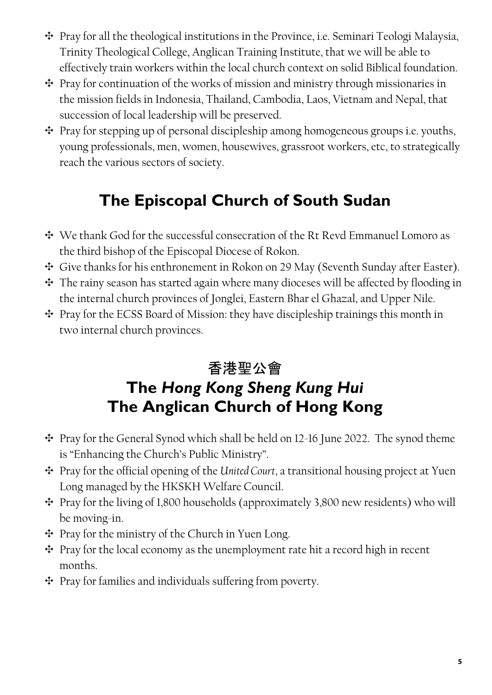- $\div$  Pray for all the theological institutions in the Province, i.e. Seminari Teologi Malaysia, Trinity Theological College, Anglican Training Institute, that we will be able to effectively train workers within the local church context on solid Biblical foundation.
- Pray for continuation of the works of mission and ministry through missionaries in the mission fields in Indonesia, Thailand, Cambodia, Laos, Vietnam and Nepal, that succession of local leadership will be preserved.
- $\div$  Pray for stepping up of personal discipleship among homogeneous groups i.e. youths, young professionals, men, women, housewives, grassroot workers, etc, to strategically reach the various sectors of society.

# **The Episcopal Church of South Sudan**

- We thank God for the successful consecration of the Rt Revd Emmanuel Lomoro as the third bishop of the Episcopal Diocese of Rokon.
- Give thanks for his enthronement in Rokon on 29 May (Seventh Sunday after Easter).
- The rainy season has started again where many dioceses will be affected by flooding in the internal church provinces of Jonglei, Eastern Bhar el Ghazal, and Upper Nile.
- $\div$  Pray for the ECSS Board of Mission: they have discipleship trainings this month in two internal church provinces.

## 香港聖公會 **The** *Hong Kong Sheng Kung Hui* **The Anglican Church of Hong Kong**

- Pray for the General Synod which shall be held on 12-16 June 2022. The synod theme is "Enhancing the Church's Public Ministry".
- Pray for the official opening of the *United Court*, a transitional housing project at Yuen Long managed by the HKSKH Welfare Council.
- $\div$  Pray for the living of 1,800 households (approximately 3,800 new residents) who will be moving-in.
- Pray for the ministry of the Church in Yuen Long.
- $\div$  Pray for the local economy as the unemployment rate hit a record high in recent months.
- $\div$  Pray for families and individuals suffering from poverty.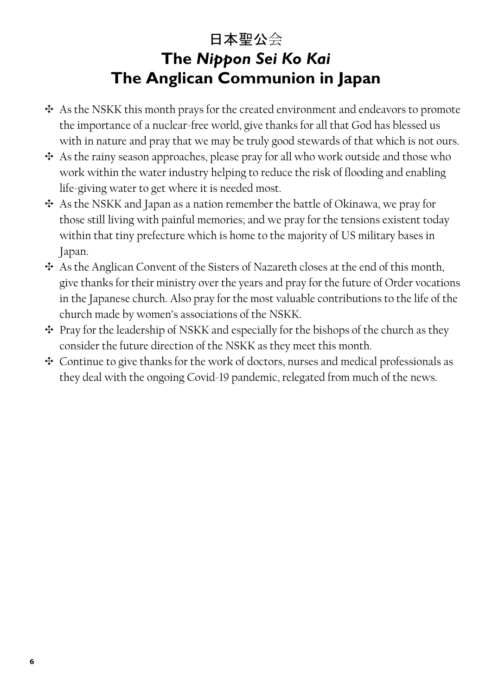## 日本聖公会 **The** *Nippon Sei Ko Kai* **The Anglican Communion in Japan**

- As the NSKK this month prays for the created environment and endeavors to promote the importance of a nuclear-free world, give thanks for all that God has blessed us with in nature and pray that we may be truly good stewards of that which is not ours.
- As the rainy season approaches, please pray for all who work outside and those who work within the water industry helping to reduce the risk of flooding and enabling life-giving water to get where it is needed most.
- $\div$  As the NSKK and Japan as a nation remember the battle of Okinawa, we pray for those still living with painful memories; and we pray for the tensions existent today within that tiny prefecture which is home to the majority of US military bases in Japan.
- As the Anglican Convent of the Sisters of Nazareth closes at the end of this month, give thanks for their ministry over the years and pray for the future of Order vocations in the Japanese church. Also pray for the most valuable contributions to the life of the church made by women's associations of the NSKK.
- $\div$  Pray for the leadership of NSKK and especially for the bishops of the church as they consider the future direction of the NSKK as they meet this month.
- Continue to give thanks for the work of doctors, nurses and medical professionals as they deal with the ongoing Covid-19 pandemic, relegated from much of the news.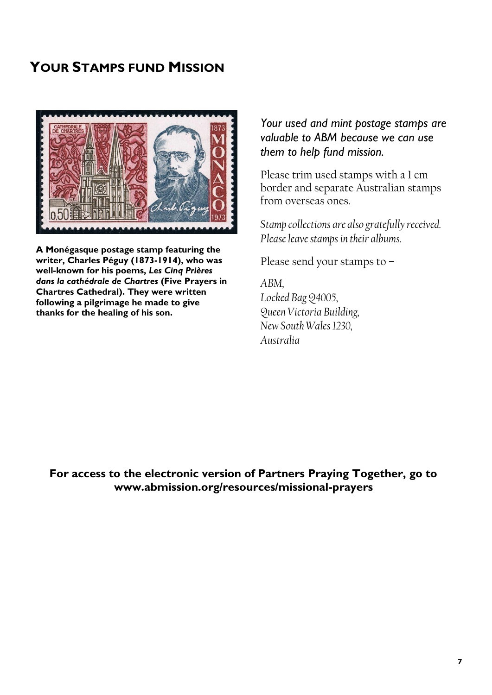### **YOUR STAMPS FUND MISSION**



**A Monégasque postage stamp featuring the writer, Charles Péguy (1873-1914), who was well-known for his poems,** *Les Cinq Prières dans la cathédrale de Chartres* **(Five Prayers in Chartres Cathedral). They were written following a pilgrimage he made to give thanks for the healing of his son.** 

#### *Your used and mint postage stamps are valuable to ABM because we can use them to help fund mission.*

Please trim used stamps with a 1 cm border and separate Australian stamps from overseas ones.

*Stamp collections are also gratefully received. Please leave stamps in their albums.*

Please send your stamps to –

*ABM, Locked Bag Q4005, Queen Victoria Building, New South Wales 1230, Australia*

**For access to the electronic version of Partners Praying Together, go to www.abmission.org/resources/missional-prayers**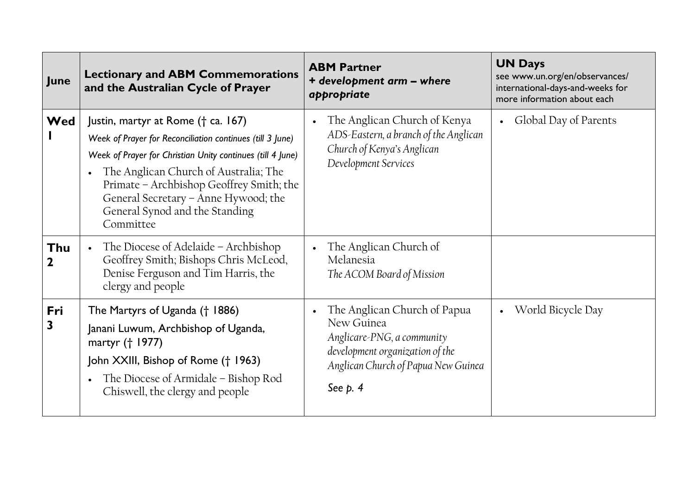| June               | <b>Lectionary and ABM Commemorations</b><br>and the Australian Cycle of Prayer                                                                                                                                                                                                                                                            | <b>ABM Partner</b><br>+ development arm - where<br>appropriate                                                                                                  | <b>UN Days</b><br>see www.un.org/en/observances/<br>international-days-and-weeks for<br>more information about each |
|--------------------|-------------------------------------------------------------------------------------------------------------------------------------------------------------------------------------------------------------------------------------------------------------------------------------------------------------------------------------------|-----------------------------------------------------------------------------------------------------------------------------------------------------------------|---------------------------------------------------------------------------------------------------------------------|
| Wed                | Justin, martyr at Rome († ca. 167)<br>Week of Prayer for Reconciliation continues (till 3 June)<br>Week of Prayer for Christian Unity continues (till 4 June)<br>The Anglican Church of Australia; The<br>Primate - Archbishop Geoffrey Smith; the<br>General Secretary - Anne Hywood; the<br>General Synod and the Standing<br>Committee | The Anglican Church of Kenya<br>ADS-Eastern, a branch of the Anglican<br>Church of Kenya's Anglican<br>Development Services                                     | Global Day of Parents                                                                                               |
| Thu<br>$\mathbf 2$ | The Diocese of Adelaide - Archbishop<br>Geoffrey Smith; Bishops Chris McLeod,<br>Denise Ferguson and Tim Harris, the<br>clergy and people                                                                                                                                                                                                 | The Anglican Church of<br>Melanesia<br>The ACOM Board of Mission                                                                                                |                                                                                                                     |
| Fri<br>3           | The Martyrs of Uganda († 1886)<br>Janani Luwum, Archbishop of Uganda,<br>martyr († 1977)<br>John XXIII, Bishop of Rome († 1963)<br>The Diocese of Armidale - Bishop Rod<br>Chiswell, the clergy and people                                                                                                                                | The Anglican Church of Papua<br>New Guinea<br>Anglicare-PNG, a community<br>development organization of the<br>Anglican Church of Papua New Guinea<br>See $p.4$ | World Bicycle Day                                                                                                   |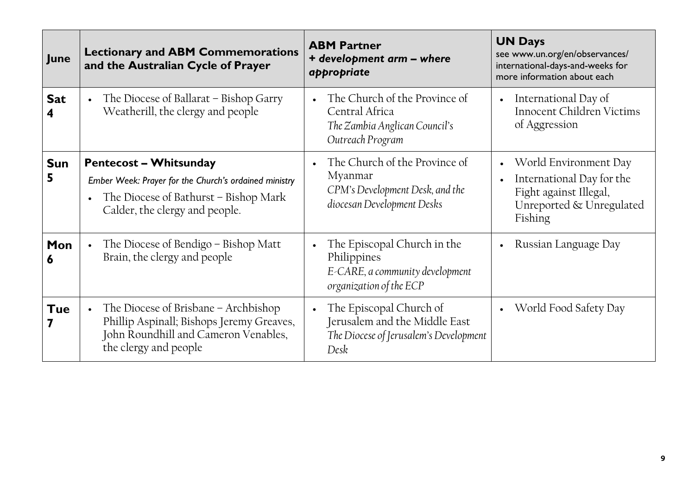| <b>June</b>     | <b>Lectionary and ABM Commemorations</b><br>and the Australian Cycle of Prayer                                                                                    | <b>ABM Partner</b><br>+ development arm - where<br>appropriate                                                        | <b>UN Days</b><br>see www.un.org/en/observances/<br>international-days-and-weeks for<br>more information about each |
|-----------------|-------------------------------------------------------------------------------------------------------------------------------------------------------------------|-----------------------------------------------------------------------------------------------------------------------|---------------------------------------------------------------------------------------------------------------------|
| <b>Sat</b>      | The Diocese of Ballarat – Bishop Garry<br>Weatherill, the clergy and people                                                                                       | The Church of the Province of<br>$\bullet$<br>Central Africa<br>The Zambia Anglican Council's<br>Outreach Program     | International Day of<br>$\bullet$<br><b>Innocent Children Victims</b><br>of Aggression                              |
| <b>Sun</b><br>5 | <b>Pentecost - Whitsunday</b><br>Ember Week: Prayer for the Church's ordained ministry<br>The Diocese of Bathurst - Bishop Mark<br>Calder, the clergy and people. | The Church of the Province of<br>Myanmar<br>CPM's Development Desk, and the<br>diocesan Development Desks             | World Environment Day<br>International Day for the<br>Fight against Illegal,<br>Unreported & Unregulated<br>Fishing |
| Mon<br>6        | The Diocese of Bendigo – Bishop Matt<br>Brain, the clergy and people                                                                                              | The Episcopal Church in the<br>$\bullet$<br>Philippines<br>E-CARE, a community development<br>organization of the ECP | Russian Language Day                                                                                                |
| Tue             | The Diocese of Brisbane - Archbishop<br>Phillip Aspinall; Bishops Jeremy Greaves,<br>John Roundhill and Cameron Venables,<br>the clergy and people                | The Episcopal Church of<br>Jerusalem and the Middle East<br>The Diocese of Jerusalem's Development<br>Desk            | World Food Safety Day                                                                                               |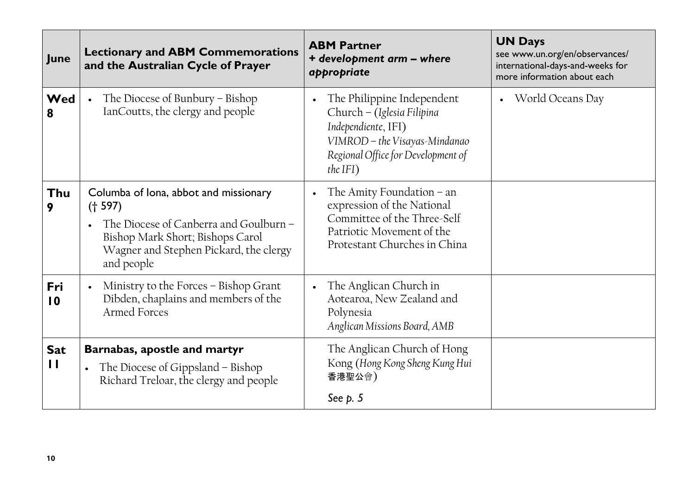| June                       | <b>Lectionary and ABM Commemorations</b><br>and the Australian Cycle of Prayer                                                                                                         | <b>ABM Partner</b><br>+ development arm - where<br>appropriate                                                                                                                     | <b>UN Days</b><br>see www.un.org/en/observances/<br>international-days-and-weeks for<br>more information about each |
|----------------------------|----------------------------------------------------------------------------------------------------------------------------------------------------------------------------------------|------------------------------------------------------------------------------------------------------------------------------------------------------------------------------------|---------------------------------------------------------------------------------------------------------------------|
| Wed<br>8                   | The Diocese of Bunbury $-$ Bishop<br>IanCoutts, the clergy and people                                                                                                                  | The Philippine Independent<br>$\bullet$<br>Church - (Iglesia Filipina<br>Independiente, IFI)<br>VIMROD - the Visayas-Mindanao<br>Regional Office for Development of<br>the IFI $)$ | World Oceans Day                                                                                                    |
| Thu<br>9                   | Columba of Iona, abbot and missionary<br>(† 597)<br>The Diocese of Canberra and Goulburn -<br>Bishop Mark Short; Bishops Carol<br>Wagner and Stephen Pickard, the clergy<br>and people | The Amity Foundation $-$ an<br>expression of the National<br>Committee of the Three-Self<br>Patriotic Movement of the<br>Protestant Churches in China                              |                                                                                                                     |
| Fri<br>$\overline{10}$     | Ministry to the Forces - Bishop Grant<br>Dibden, chaplains and members of the<br>Armed Forces                                                                                          | The Anglican Church in<br>$\bullet$<br>Aotearoa, New Zealand and<br>Polynesia<br>Anglican Missions Board, AMB                                                                      |                                                                                                                     |
| <b>Sat</b><br>$\mathbf{H}$ | Barnabas, apostle and martyr<br>The Diocese of Gippsland – Bishop<br>Richard Treloar, the clergy and people                                                                            | The Anglican Church of Hong<br>Kong (Hong Kong Sheng Kung Hui<br>香港聖公會)<br>See $p.5$                                                                                               |                                                                                                                     |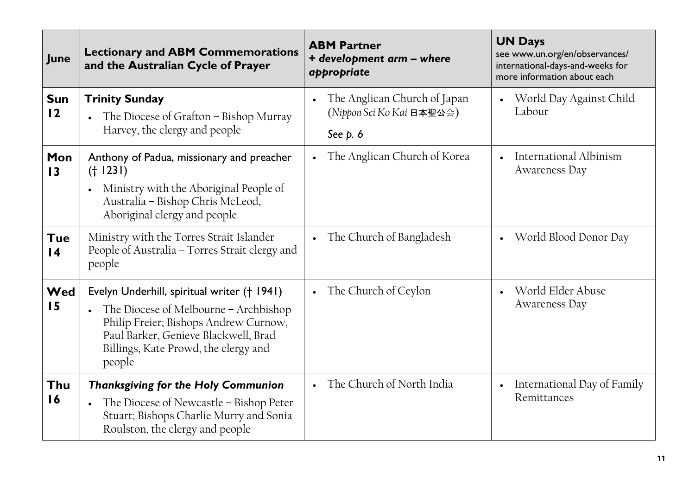| June                          | <b>Lectionary and ABM Commemorations</b><br>and the Australian Cycle of Prayer                                                                                                                                          | <b>ABM Partner</b><br>+ development arm - where<br>appropriate                      | <b>UN Days</b><br>see www.un.org/en/observances/<br>international-days-and-weeks for<br>more information about each |
|-------------------------------|-------------------------------------------------------------------------------------------------------------------------------------------------------------------------------------------------------------------------|-------------------------------------------------------------------------------------|---------------------------------------------------------------------------------------------------------------------|
| <b>Sun</b><br>12              | <b>Trinity Sunday</b><br>The Diocese of Grafton – Bishop Murray<br>Harvey, the clergy and people                                                                                                                        | The Anglican Church of Japan<br>$\bullet$<br>(Nippon Sei Ko Kai 日本聖公会)<br>See $p.6$ | World Day Against Child<br>Labour                                                                                   |
| Mon<br>$\overline{13}$        | Anthony of Padua, missionary and preacher<br>(† 1231)<br>Ministry with the Aboriginal People of<br>Australia - Bishop Chris McLeod,<br>Aboriginal clergy and people                                                     | The Anglican Church of Korea<br>$\bullet$                                           | International Albinism<br>Awareness Day                                                                             |
| <b>Tue</b><br>$\overline{14}$ | Ministry with the Torres Strait Islander<br>People of Australia - Torres Strait clergy and<br>people                                                                                                                    | The Church of Bangladesh<br>$\bullet$                                               | World Blood Donor Day                                                                                               |
| Wed<br>15                     | Evelyn Underhill, spiritual writer († 1941)<br>The Diocese of Melbourne – Archbishop<br>Philip Freier; Bishops Andrew Curnow,<br>Paul Barker, Genieve Blackwell, Brad<br>Billings, Kate Prowd, the clergy and<br>people | The Church of Ceylon<br>$\bullet$                                                   | World Elder Abuse<br>Awareness Day                                                                                  |
| Thu<br>16                     | <b>Thanksgiving for the Holy Communion</b><br>The Diocese of Newcastle - Bishop Peter<br>Stuart; Bishops Charlie Murry and Sonia<br>Roulston, the clergy and people                                                     | The Church of North India<br>$\bullet$                                              | International Day of Family<br>$\bullet$<br>Remittances                                                             |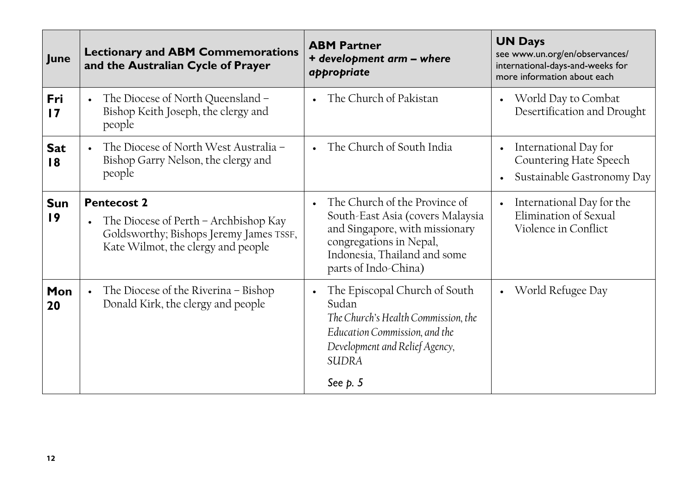| June                   | <b>Lectionary and ABM Commemorations</b><br>and the Australian Cycle of Prayer                                                               | <b>ABM Partner</b><br>+ development arm - where<br>appropriate                                                                                                                         | <b>UN Days</b><br>see www.un.org/en/observances/<br>international-days-and-weeks for<br>more information about each |
|------------------------|----------------------------------------------------------------------------------------------------------------------------------------------|----------------------------------------------------------------------------------------------------------------------------------------------------------------------------------------|---------------------------------------------------------------------------------------------------------------------|
| Fri<br>$\overline{17}$ | The Diocese of North Queensland -<br>Bishop Keith Joseph, the clergy and<br>people                                                           | The Church of Pakistan                                                                                                                                                                 | World Day to Combat<br>Desertification and Drought                                                                  |
| <b>Sat</b><br>18       | The Diocese of North West Australia -<br>Bishop Garry Nelson, the clergy and<br>people                                                       | The Church of South India                                                                                                                                                              | International Day for<br>Countering Hate Speech<br>Sustainable Gastronomy Day                                       |
| <b>Sun</b><br>19       | <b>Pentecost 2</b><br>The Diocese of Perth – Archbishop Kay<br>Goldsworthy; Bishops Jeremy James TSSF,<br>Kate Wilmot, the clergy and people | The Church of the Province of<br>South-East Asia (covers Malaysia<br>and Singapore, with missionary<br>congregations in Nepal,<br>Indonesia, Thailand and some<br>parts of Indo-China) | International Day for the<br>$\bullet$<br>Elimination of Sexual<br>Violence in Conflict                             |
| Mon<br>20              | The Diocese of the Riverina - Bishop<br>Donald Kirk, the clergy and people                                                                   | The Episcopal Church of South<br>Sudan<br>The Church's Health Commission, the<br>Education Commission, and the<br>Development and Relief Agency,<br><b>SUDRA</b>                       | World Refugee Day                                                                                                   |
|                        |                                                                                                                                              | See $p.5$                                                                                                                                                                              |                                                                                                                     |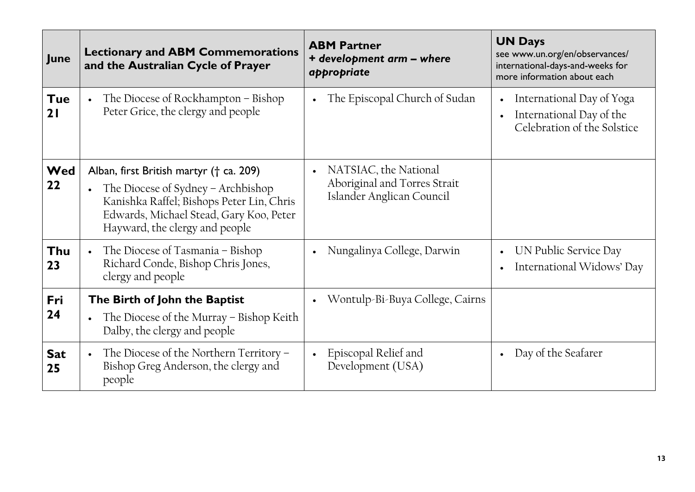| June             | <b>Lectionary and ABM Commemorations</b><br>and the Australian Cycle of Prayer                                                                                                                          | <b>ABM Partner</b><br>+ development arm - where<br>appropriate                                  | <b>UN Days</b><br>see www.un.org/en/observances/<br>international-days-and-weeks for<br>more information about each |
|------------------|---------------------------------------------------------------------------------------------------------------------------------------------------------------------------------------------------------|-------------------------------------------------------------------------------------------------|---------------------------------------------------------------------------------------------------------------------|
| <b>Tue</b><br>21 | The Diocese of Rockhampton - Bishop<br>Peter Grice, the clergy and people                                                                                                                               | The Episcopal Church of Sudan<br>$\bullet$                                                      | International Day of Yoga<br>International Day of the<br>Celebration of the Solstice                                |
| Wed<br>22        | Alban, first British martyr († ca. 209)<br>The Diocese of Sydney – Archbishop<br>Kanishka Raffel; Bishops Peter Lin, Chris<br>Edwards, Michael Stead, Gary Koo, Peter<br>Hayward, the clergy and people | NATSIAC, the National<br>$\bullet$<br>Aboriginal and Torres Strait<br>Islander Anglican Council |                                                                                                                     |
| Thu<br>23        | The Diocese of Tasmania – Bishop<br>Richard Conde, Bishop Chris Jones,<br>clergy and people                                                                                                             | Nungalinya College, Darwin<br>$\bullet$                                                         | UN Public Service Day<br>International Widows' Day                                                                  |
| Fri<br>24        | The Birth of John the Baptist<br>The Diocese of the Murray – Bishop Keith<br>Dalby, the clergy and people                                                                                               | Wontulp-Bi-Buya College, Cairns<br>$\bullet$                                                    |                                                                                                                     |
| <b>Sat</b><br>25 | The Diocese of the Northern Territory -<br>Bishop Greg Anderson, the clergy and<br>people                                                                                                               | Episcopal Relief and<br>$\bullet$<br>Development (USA)                                          | Day of the Seafarer                                                                                                 |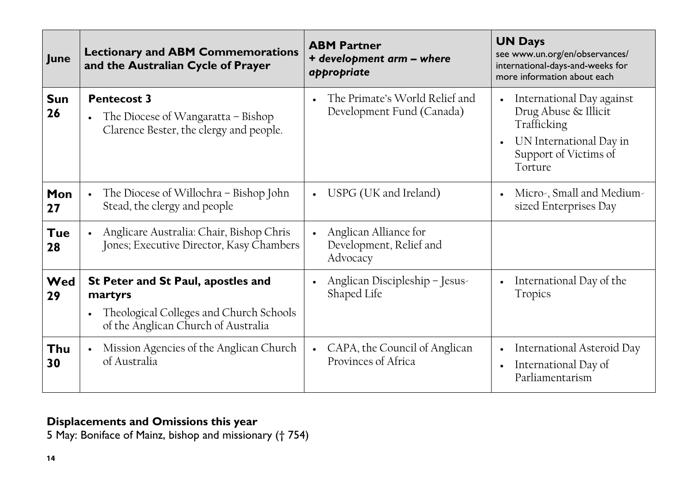| June             | <b>Lectionary and ABM Commemorations</b><br>and the Australian Cycle of Prayer                                                  | <b>ABM Partner</b><br>+ development arm - where<br>appropriate            | <b>UN Days</b><br>see www.un.org/en/observances/<br>international-days-and-weeks for<br>more information about each             |
|------------------|---------------------------------------------------------------------------------------------------------------------------------|---------------------------------------------------------------------------|---------------------------------------------------------------------------------------------------------------------------------|
| <b>Sun</b><br>26 | <b>Pentecost 3</b><br>The Diocese of Wangaratta – Bishop<br>Clarence Bester, the clergy and people.                             | The Primate's World Relief and<br>Development Fund (Canada)               | International Day against<br>Drug Abuse & Illicit<br>Trafficking<br>UN International Day in<br>Support of Victims of<br>Torture |
| Mon<br>27        | The Diocese of Willochra – Bishop John<br>Stead, the clergy and people                                                          | USPG (UK and Ireland)<br>$\bullet$                                        | Micro-, Small and Medium-<br>sized Enterprises Day                                                                              |
| <b>Tue</b><br>28 | Anglicare Australia: Chair, Bishop Chris<br>Jones; Executive Director, Kasy Chambers                                            | Anglican Alliance for<br>$\bullet$<br>Development, Relief and<br>Advocacy |                                                                                                                                 |
| Wed<br>29        | St Peter and St Paul, apostles and<br>martyrs<br>Theological Colleges and Church Schools<br>of the Anglican Church of Australia | Anglican Discipleship - Jesus-<br>$\bullet$<br>Shaped Life                | International Day of the<br><b>Tropics</b>                                                                                      |
| Thu<br>30        | Mission Agencies of the Anglican Church<br>of Australia                                                                         | CAPA, the Council of Anglican<br>$\bullet$<br>Provinces of Africa         | International Asteroid Day<br>International Day of<br>Parliamentarism                                                           |

### **Displacements and Omissions this year**

5 May: Boniface of Mainz, bishop and missionary († 754)